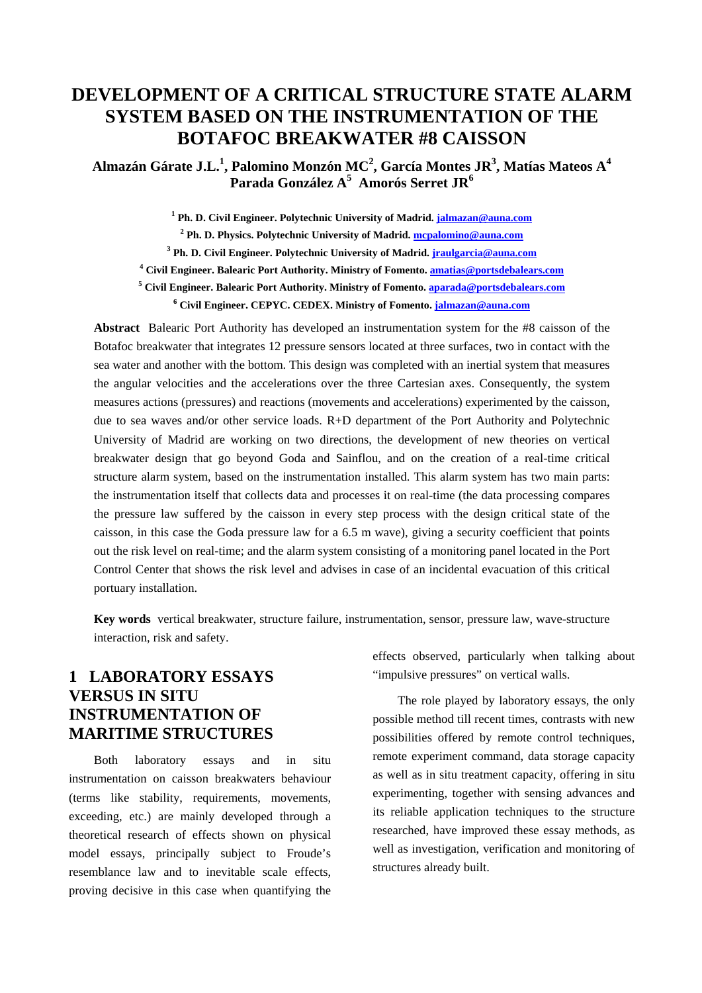# **DEVELOPMENT OF A CRITICAL STRUCTURE STATE ALARM SYSTEM BASED ON THE INSTRUMENTATION OF THE BOTAFOC BREAKWATER #8 CAISSON**

**Almazán Gárate J.L.<sup>1</sup> , Palomino Monzón MC2 , García Montes JR3 , Matías Mateos A4 Parada González A5 Amorós Serret JR6**

<sup>1</sup> Ph. D. Civil Engineer. Polytechnic University of Madrid. **jalmazan@auna.com 2 Ph. D. Physics. Polytechnic University of Madrid. mcpalomino@auna.com 3 Ph. D. Civil Engineer. Polytechnic University of Madrid. jraulgarcia@auna.com** <sup>4</sup> Civil Engineer. Balearic Port Authority. Ministry of Fomento. **amatias@portsdebalears.com** <sup>5</sup> Civil Engineer. Balearic Port Authority. Ministry of Fomento. <u>aparada@portsdebalears.com</u>

**6 Civil Engineer. CEPYC. CEDEX. Ministry of Fomento. jalmazan@auna.com**

**Abstract** Balearic Port Authority has developed an instrumentation system for the #8 caisson of the Botafoc breakwater that integrates 12 pressure sensors located at three surfaces, two in contact with the sea water and another with the bottom. This design was completed with an inertial system that measures the angular velocities and the accelerations over the three Cartesian axes. Consequently, the system measures actions (pressures) and reactions (movements and accelerations) experimented by the caisson, due to sea waves and/or other service loads. R+D department of the Port Authority and Polytechnic University of Madrid are working on two directions, the development of new theories on vertical breakwater design that go beyond Goda and Sainflou, and on the creation of a real-time critical structure alarm system, based on the instrumentation installed. This alarm system has two main parts: the instrumentation itself that collects data and processes it on real-time (the data processing compares the pressure law suffered by the caisson in every step process with the design critical state of the caisson, in this case the Goda pressure law for a 6.5 m wave), giving a security coefficient that points out the risk level on real-time; and the alarm system consisting of a monitoring panel located in the Port Control Center that shows the risk level and advises in case of an incidental evacuation of this critical portuary installation.

**Key words** vertical breakwater, structure failure, instrumentation, sensor, pressure law, wave-structure interaction, risk and safety.

#### **1 LABORATORY ESSAYS VERSUS IN SITU INSTRUMENTATION OF MARITIME STRUCTURES**

Both laboratory essays and in situ instrumentation on caisson breakwaters behaviour (terms like stability, requirements, movements, exceeding, etc.) are mainly developed through a theoretical research of effects shown on physical model essays, principally subject to Froude's resemblance law and to inevitable scale effects, proving decisive in this case when quantifying the effects observed, particularly when talking about "impulsive pressures" on vertical walls.

The role played by laboratory essays, the only possible method till recent times, contrasts with new possibilities offered by remote control techniques, remote experiment command, data storage capacity as well as in situ treatment capacity, offering in situ experimenting, together with sensing advances and its reliable application techniques to the structure researched, have improved these essay methods, as well as investigation, verification and monitoring of structures already built.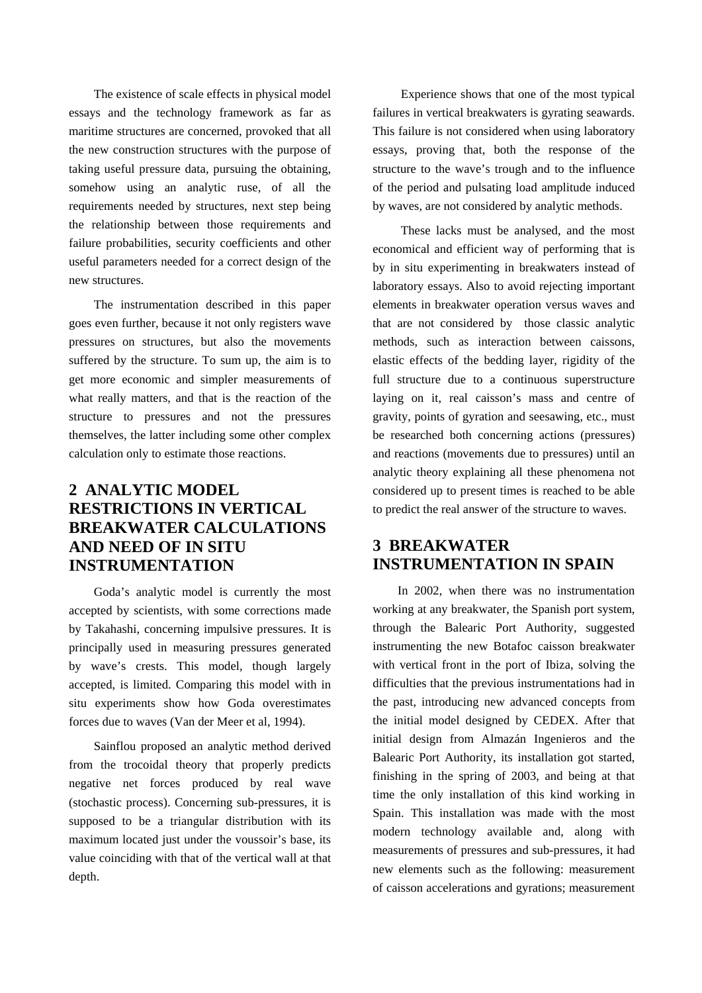The existence of scale effects in physical model essays and the technology framework as far as maritime structures are concerned, provoked that all the new construction structures with the purpose of taking useful pressure data, pursuing the obtaining, somehow using an analytic ruse, of all the requirements needed by structures, next step being the relationship between those requirements and failure probabilities, security coefficients and other useful parameters needed for a correct design of the new structures.

The instrumentation described in this paper goes even further, because it not only registers wave pressures on structures, but also the movements suffered by the structure. To sum up, the aim is to get more economic and simpler measurements of what really matters, and that is the reaction of the structure to pressures and not the pressures themselves, the latter including some other complex calculation only to estimate those reactions.

## **2 ANALYTIC MODEL RESTRICTIONS IN VERTICAL BREAKWATER CALCULATIONS AND NEED OF IN SITU INSTRUMENTATION**

Goda's analytic model is currently the most accepted by scientists, with some corrections made by Takahashi, concerning impulsive pressures. It is principally used in measuring pressures generated by wave's crests. This model, though largely accepted, is limited. Comparing this model with in situ experiments show how Goda overestimates forces due to waves (Van der Meer et al, 1994).

Sainflou proposed an analytic method derived from the trocoidal theory that properly predicts negative net forces produced by real wave (stochastic process). Concerning sub-pressures, it is supposed to be a triangular distribution with its maximum located just under the voussoir's base, its value coinciding with that of the vertical wall at that depth.

 Experience shows that one of the most typical failures in vertical breakwaters is gyrating seawards. This failure is not considered when using laboratory essays, proving that, both the response of the structure to the wave's trough and to the influence of the period and pulsating load amplitude induced by waves, are not considered by analytic methods.

 These lacks must be analysed, and the most economical and efficient way of performing that is by in situ experimenting in breakwaters instead of laboratory essays. Also to avoid rejecting important elements in breakwater operation versus waves and that are not considered by those classic analytic methods, such as interaction between caissons, elastic effects of the bedding layer, rigidity of the full structure due to a continuous superstructure laying on it, real caisson's mass and centre of gravity, points of gyration and seesawing, etc., must be researched both concerning actions (pressures) and reactions (movements due to pressures) until an analytic theory explaining all these phenomena not considered up to present times is reached to be able to predict the real answer of the structure to waves.

### **3 BREAKWATER INSTRUMENTATION IN SPAIN**

In 2002, when there was no instrumentation working at any breakwater, the Spanish port system, through the Balearic Port Authority, suggested instrumenting the new Botafoc caisson breakwater with vertical front in the port of Ibiza, solving the difficulties that the previous instrumentations had in the past, introducing new advanced concepts from the initial model designed by CEDEX. After that initial design from Almazán Ingenieros and the Balearic Port Authority, its installation got started, finishing in the spring of 2003, and being at that time the only installation of this kind working in Spain. This installation was made with the most modern technology available and, along with measurements of pressures and sub-pressures, it had new elements such as the following: measurement of caisson accelerations and gyrations; measurement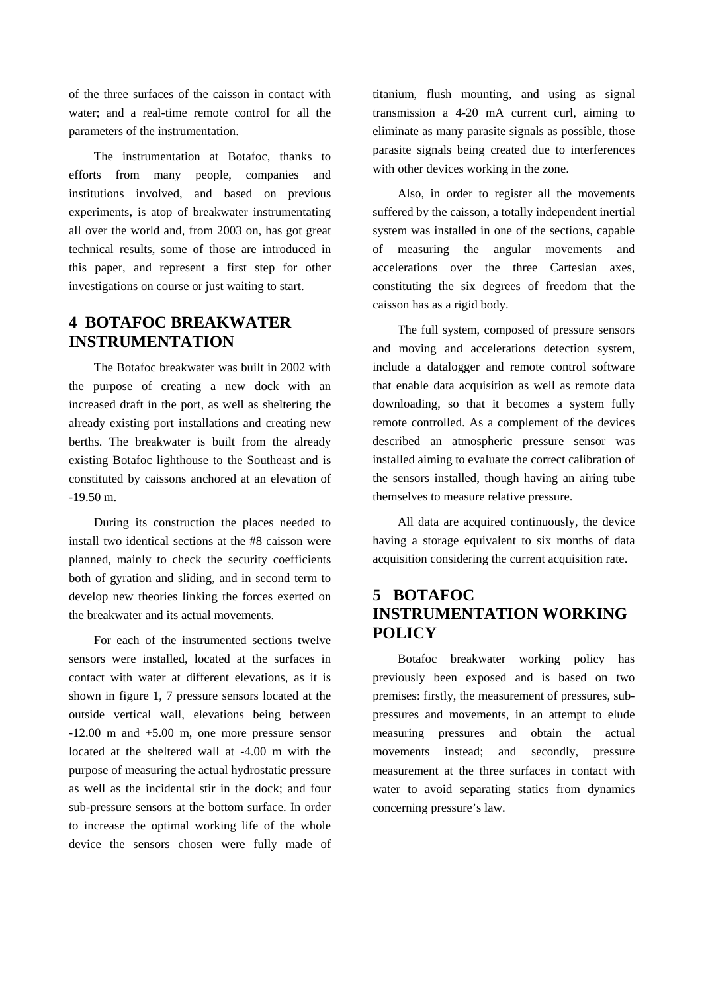of the three surfaces of the caisson in contact with water; and a real-time remote control for all the parameters of the instrumentation.

The instrumentation at Botafoc, thanks to efforts from many people, companies and institutions involved, and based on previous experiments, is atop of breakwater instrumentating all over the world and, from 2003 on, has got great technical results, some of those are introduced in this paper, and represent a first step for other investigations on course or just waiting to start.

#### **4 BOTAFOC BREAKWATER INSTRUMENTATION**

The Botafoc breakwater was built in 2002 with the purpose of creating a new dock with an increased draft in the port, as well as sheltering the already existing port installations and creating new berths. The breakwater is built from the already existing Botafoc lighthouse to the Southeast and is constituted by caissons anchored at an elevation of -19.50 m.

During its construction the places needed to install two identical sections at the #8 caisson were planned, mainly to check the security coefficients both of gyration and sliding, and in second term to develop new theories linking the forces exerted on the breakwater and its actual movements.

For each of the instrumented sections twelve sensors were installed, located at the surfaces in contact with water at different elevations, as it is shown in figure 1, 7 pressure sensors located at the outside vertical wall, elevations being between  $-12.00$  m and  $+5.00$  m, one more pressure sensor located at the sheltered wall at -4.00 m with the purpose of measuring the actual hydrostatic pressure as well as the incidental stir in the dock; and four sub-pressure sensors at the bottom surface. In order to increase the optimal working life of the whole device the sensors chosen were fully made of titanium, flush mounting, and using as signal transmission a 4-20 mA current curl, aiming to eliminate as many parasite signals as possible, those parasite signals being created due to interferences with other devices working in the zone.

Also, in order to register all the movements suffered by the caisson, a totally independent inertial system was installed in one of the sections, capable of measuring the angular movements and accelerations over the three Cartesian axes, constituting the six degrees of freedom that the caisson has as a rigid body.

The full system, composed of pressure sensors and moving and accelerations detection system, include a datalogger and remote control software that enable data acquisition as well as remote data downloading, so that it becomes a system fully remote controlled. As a complement of the devices described an atmospheric pressure sensor was installed aiming to evaluate the correct calibration of the sensors installed, though having an airing tube themselves to measure relative pressure.

All data are acquired continuously, the device having a storage equivalent to six months of data acquisition considering the current acquisition rate.

## **5 BOTAFOC INSTRUMENTATION WORKING POLICY**

Botafoc breakwater working policy has previously been exposed and is based on two premises: firstly, the measurement of pressures, subpressures and movements, in an attempt to elude measuring pressures and obtain the actual movements instead; and secondly, pressure measurement at the three surfaces in contact with water to avoid separating statics from dynamics concerning pressure's law.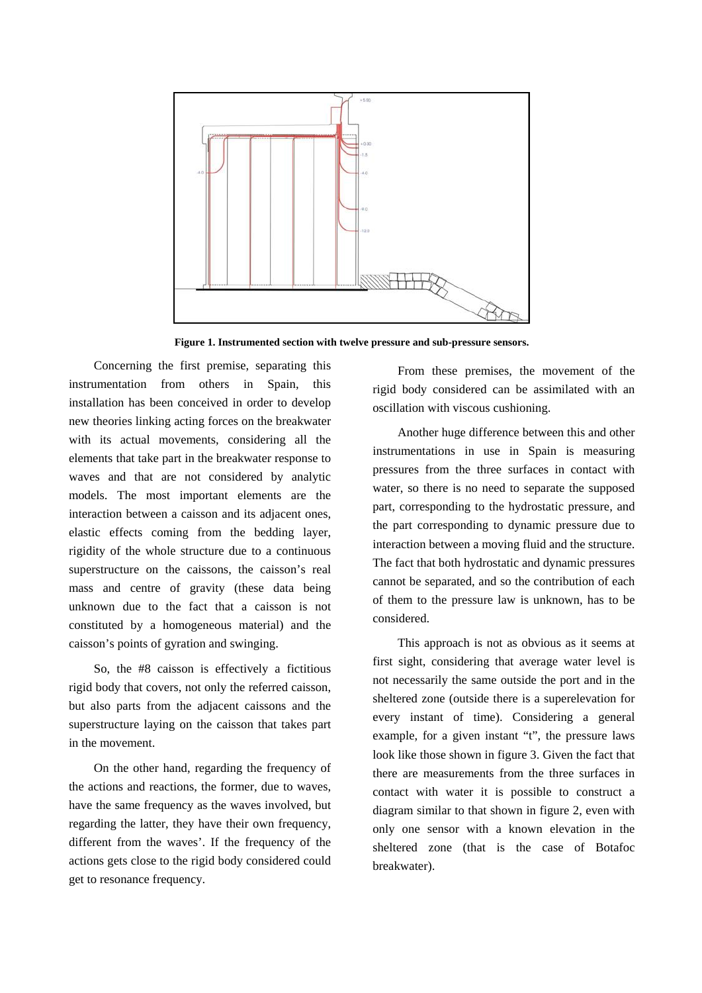

**Figure 1. Instrumented section with twelve pressure and sub-pressure sensors.**

Concerning the first premise, separating this instrumentation from others in Spain, installation has been conceived in order to develop new theories linking acting forces on the breakwater with its actual movements, considering all the elements that take part in the breakwater response to waves and that are not considered by analytic models. The most important elements are the interaction between a caisson and its adjacent ones, elastic effects coming from the bedding layer, rigidity of the whole structure due to a continuous superstructure on the caissons, the caisson's real mass and centre of gravity (these data being unknown due to the fact that a caisson is not constituted by a homogeneous material) and the caisson's points of gyration and swinging.

So, the #8 caisson is effectively a fictitious rigid body that covers, not only the referred caisson, but also parts from the adjacent caissons and the superstructure laying on the caisson that takes part in the movement.

On the other hand, regarding the frequency of the actions and reactions, the former, due to waves, have the same frequency as the waves involved, but regarding the latter, they have their own frequency, different from the waves'. If the frequency of the actions gets close to the rigid body considered could get to resonance frequency.

From these premises, the movement of the rigid body considered can be assimilated with an oscillation with viscous cushioning.

Another huge difference between this and other instrumentations in use in Spain is measuring pressures from the three surfaces in contact with water, so there is no need to separate the supposed part, corresponding to the hydrostatic pressure, and the part corresponding to dynamic pressure due to interaction between a moving fluid and the structure. The fact that both hydrostatic and dynamic pressures cannot be separated, and so the contribution of each of them to the pressure law is unknown, has to be considered.

This approach is not as obvious as it seems at first sight, considering that average water level is not necessarily the same outside the port and in the sheltered zone (outside there is a superelevation for every instant of time). Considering a general example, for a given instant "t", the pressure laws look like those shown in figure 3. Given the fact that there are measurements from the three surfaces in contact with water it is possible to construct a diagram similar to that shown in figure 2, even with only one sensor with a known elevation in the sheltered zone (that is the case of Botafoc breakwater).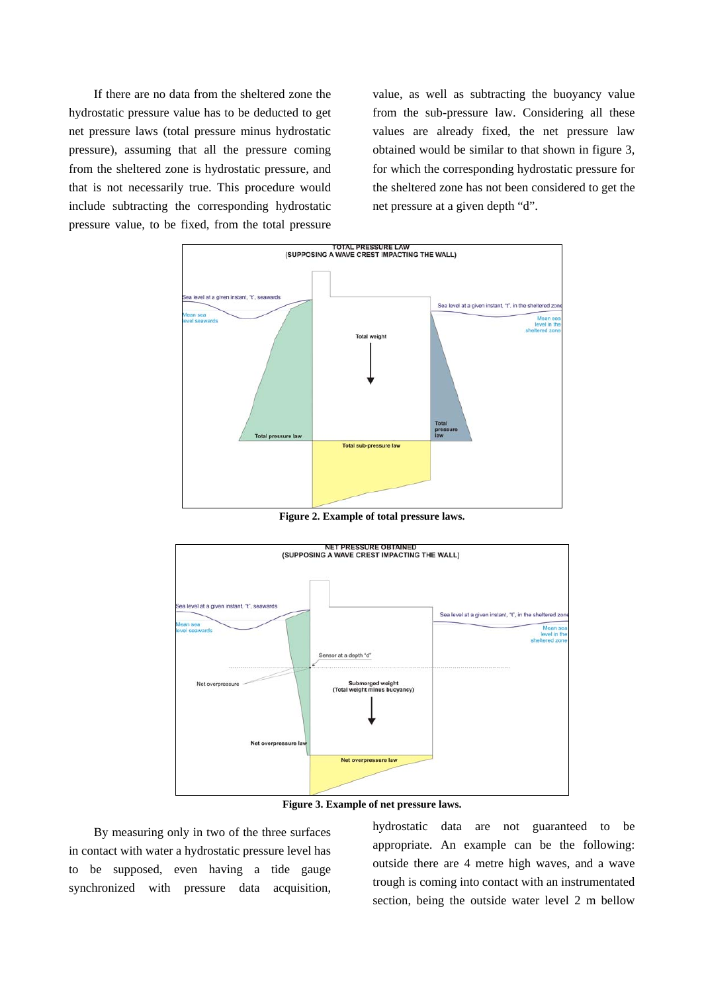If there are no data from the sheltered zone the hydrostatic pressure value has to be deducted to get net pressure laws (total pressure minus hydrostatic pressure), assuming that all the pressure coming from the sheltered zone is hydrostatic pressure, and that is not necessarily true. This procedure would include subtracting the corresponding hydrostatic pressure value, to be fixed, from the total pressure value, as well as subtracting the buoyancy value from the sub-pressure law. Considering all these values are already fixed, the net pressure law obtained would be similar to that shown in figure 3, for which the corresponding hydrostatic pressure for the sheltered zone has not been considered to get the net pressure at a given depth "d".



**Figure 2. Example of total pressure laws.** 





By measuring only in two of the three surfaces in contact with water a hydrostatic pressure level has to be supposed, even having a tide gauge synchronized with pressure data acquisition, hydrostatic data are not guaranteed to be appropriate. An example can be the following: outside there are 4 metre high waves, and a wave trough is coming into contact with an instrumentated section, being the outside water level 2 m bellow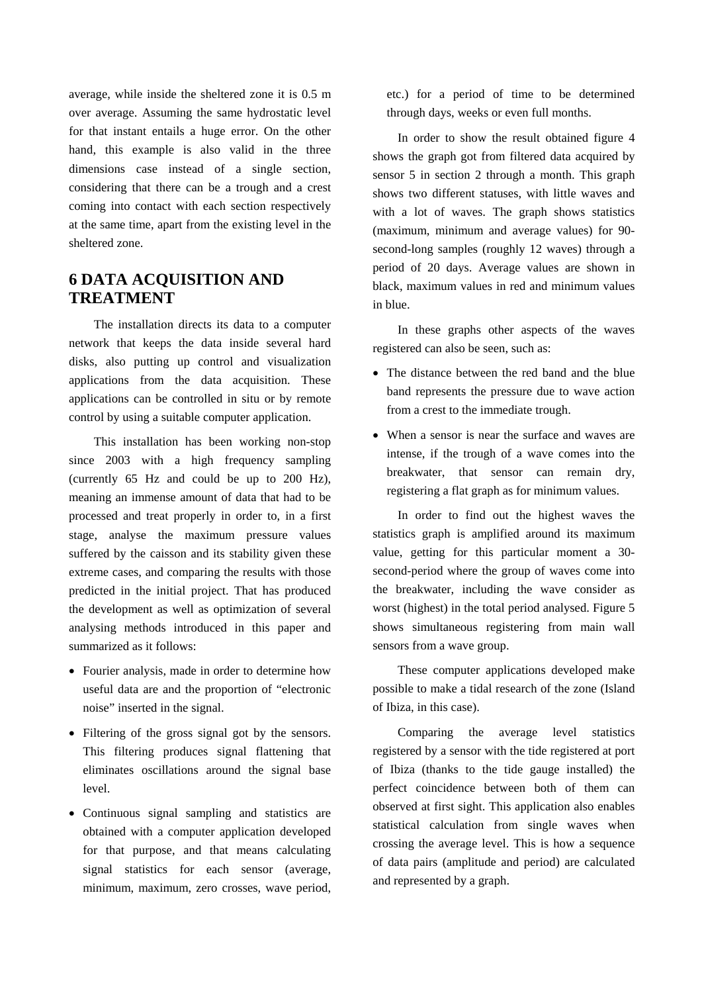average, while inside the sheltered zone it is 0.5 m over average. Assuming the same hydrostatic level for that instant entails a huge error. On the other hand, this example is also valid in the three dimensions case instead of a single section, considering that there can be a trough and a crest coming into contact with each section respectively at the same time, apart from the existing level in the sheltered zone.

#### **6 DATA ACQUISITION AND TREATMENT**

The installation directs its data to a computer network that keeps the data inside several hard disks, also putting up control and visualization applications from the data acquisition. These applications can be controlled in situ or by remote control by using a suitable computer application.

This installation has been working non-stop since 2003 with a high frequency sampling (currently 65 Hz and could be up to 200 Hz), meaning an immense amount of data that had to be processed and treat properly in order to, in a first stage, analyse the maximum pressure values suffered by the caisson and its stability given these extreme cases, and comparing the results with those predicted in the initial project. That has produced the development as well as optimization of several analysing methods introduced in this paper and summarized as it follows:

- Fourier analysis, made in order to determine how useful data are and the proportion of "electronic noise" inserted in the signal.
- Filtering of the gross signal got by the sensors. This filtering produces signal flattening that eliminates oscillations around the signal base level.
- Continuous signal sampling and statistics are obtained with a computer application developed for that purpose, and that means calculating signal statistics for each sensor (average, minimum, maximum, zero crosses, wave period,

etc.) for a period of time to be determined through days, weeks or even full months.

In order to show the result obtained figure 4 shows the graph got from filtered data acquired by sensor 5 in section 2 through a month. This graph shows two different statuses, with little waves and with a lot of waves. The graph shows statistics (maximum, minimum and average values) for 90 second-long samples (roughly 12 waves) through a period of 20 days. Average values are shown in black, maximum values in red and minimum values in blue.

In these graphs other aspects of the waves registered can also be seen, such as:

- The distance between the red band and the blue band represents the pressure due to wave action from a crest to the immediate trough.
- When a sensor is near the surface and waves are intense, if the trough of a wave comes into the breakwater, that sensor can remain dry, registering a flat graph as for minimum values.

In order to find out the highest waves the statistics graph is amplified around its maximum value, getting for this particular moment a 30 second-period where the group of waves come into the breakwater, including the wave consider as worst (highest) in the total period analysed. Figure 5 shows simultaneous registering from main wall sensors from a wave group.

These computer applications developed make possible to make a tidal research of the zone (Island of Ibiza, in this case).

Comparing the average level statistics registered by a sensor with the tide registered at port of Ibiza (thanks to the tide gauge installed) the perfect coincidence between both of them can observed at first sight. This application also enables statistical calculation from single waves when crossing the average level. This is how a sequence of data pairs (amplitude and period) are calculated and represented by a graph.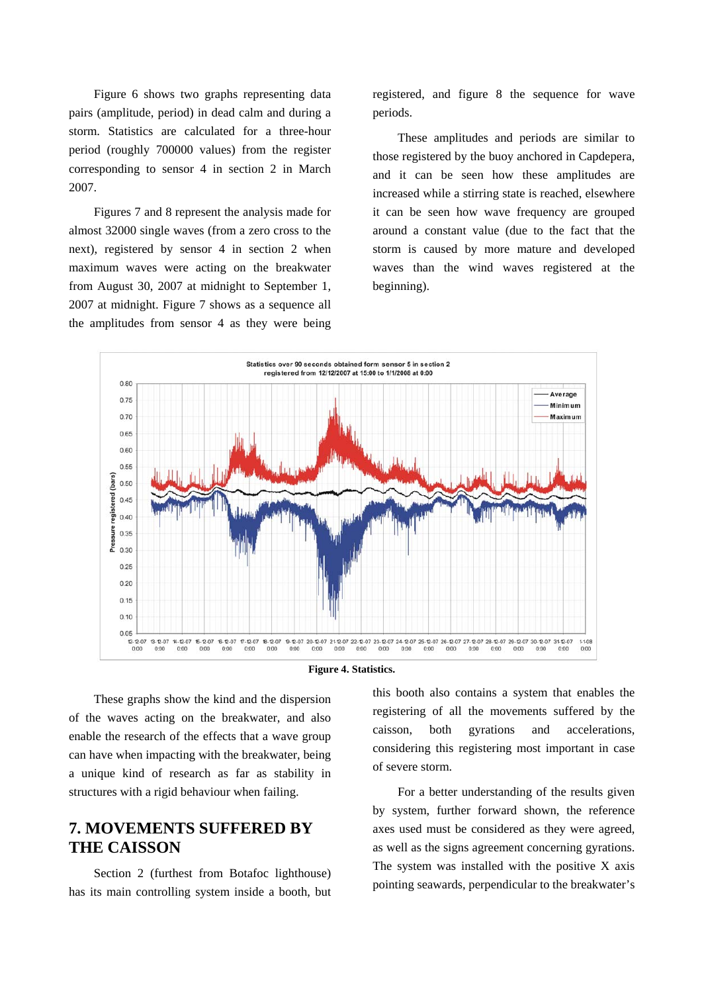Figure 6 shows two graphs representing data pairs (amplitude, period) in dead calm and during a storm. Statistics are calculated for a three-hour period (roughly 700000 values) from the register corresponding to sensor 4 in section 2 in March 2007.

Figures 7 and 8 represent the analysis made for almost 32000 single waves (from a zero cross to the next), registered by sensor 4 in section 2 when maximum waves were acting on the breakwater from August 30, 2007 at midnight to September 1, 2007 at midnight. Figure 7 shows as a sequence all the amplitudes from sensor 4 as they were being registered, and figure 8 the sequence for wave periods.

These amplitudes and periods are similar to those registered by the buoy anchored in Capdepera, and it can be seen how these amplitudes are increased while a stirring state is reached, elsewhere it can be seen how wave frequency are grouped around a constant value (due to the fact that the storm is caused by more mature and developed waves than the wind waves registered at the beginning).



**Figure 4. Statistics.** 

These graphs show the kind and the dispersion of the waves acting on the breakwater, and also enable the research of the effects that a wave group can have when impacting with the breakwater, being a unique kind of research as far as stability in structures with a rigid behaviour when failing.

#### **7. MOVEMENTS SUFFERED BY THE CAISSON**

Section 2 (furthest from Botafoc lighthouse) has its main controlling system inside a booth, but this booth also contains a system that enables the registering of all the movements suffered by the caisson, both gyrations and accelerations, considering this registering most important in case of severe storm.

For a better understanding of the results given by system, further forward shown, the reference axes used must be considered as they were agreed, as well as the signs agreement concerning gyrations. The system was installed with the positive  $X$  axis pointing seawards, perpendicular to the breakwater's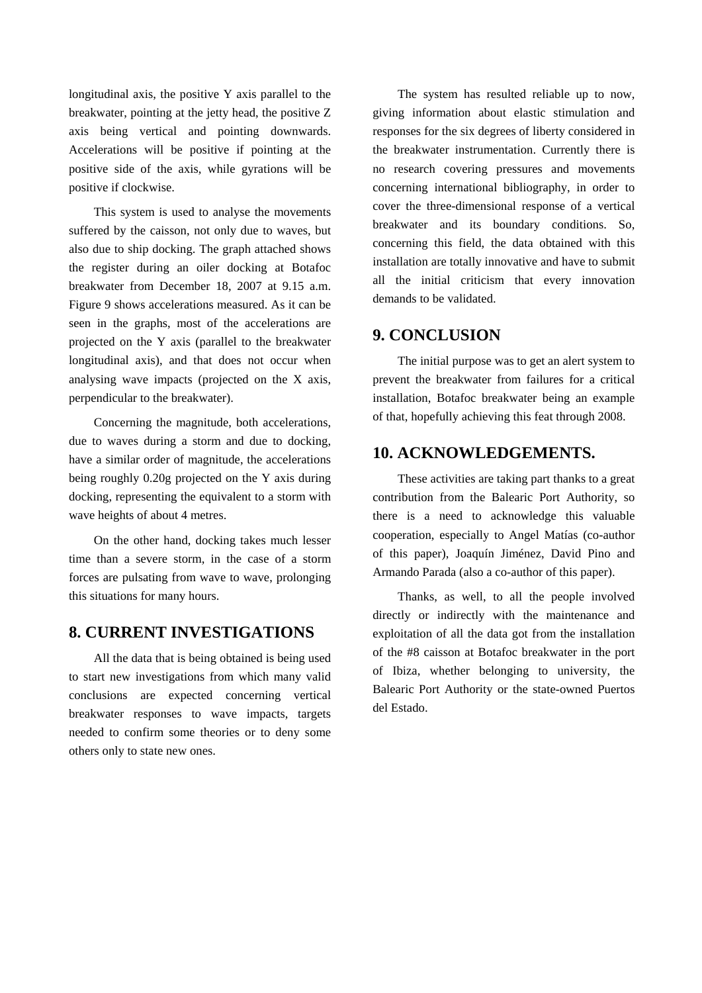longitudinal axis, the positive Y axis parallel to the breakwater, pointing at the jetty head, the positive Z axis being vertical and pointing downwards. Accelerations will be positive if pointing at the positive side of the axis, while gyrations will be positive if clockwise.

This system is used to analyse the movements suffered by the caisson, not only due to waves, but also due to ship docking. The graph attached shows the register during an oiler docking at Botafoc breakwater from December 18, 2007 at 9.15 a.m. Figure 9 shows accelerations measured. As it can be seen in the graphs, most of the accelerations are projected on the Y axis (parallel to the breakwater longitudinal axis), and that does not occur when analysing wave impacts (projected on the X axis, perpendicular to the breakwater).

Concerning the magnitude, both accelerations, due to waves during a storm and due to docking, have a similar order of magnitude, the accelerations being roughly 0.20g projected on the Y axis during docking, representing the equivalent to a storm with wave heights of about 4 metres.

On the other hand, docking takes much lesser time than a severe storm, in the case of a storm forces are pulsating from wave to wave, prolonging this situations for many hours.

#### **8. CURRENT INVESTIGATIONS**

All the data that is being obtained is being used to start new investigations from which many valid conclusions are expected concerning vertical breakwater responses to wave impacts, targets needed to confirm some theories or to deny some others only to state new ones.

The system has resulted reliable up to now, giving information about elastic stimulation and responses for the six degrees of liberty considered in the breakwater instrumentation. Currently there is no research covering pressures and movements concerning international bibliography, in order to cover the three-dimensional response of a vertical breakwater and its boundary conditions. So, concerning this field, the data obtained with this installation are totally innovative and have to submit all the initial criticism that every innovation demands to be validated.

#### **9. CONCLUSION**

The initial purpose was to get an alert system to prevent the breakwater from failures for a critical installation, Botafoc breakwater being an example of that, hopefully achieving this feat through 2008.

#### **10. ACKNOWLEDGEMENTS.**

These activities are taking part thanks to a great contribution from the Balearic Port Authority, so there is a need to acknowledge this valuable cooperation, especially to Angel Matías (co-author of this paper), Joaquín Jiménez, David Pino and Armando Parada (also a co-author of this paper).

Thanks, as well, to all the people involved directly or indirectly with the maintenance and exploitation of all the data got from the installation of the #8 caisson at Botafoc breakwater in the port of Ibiza, whether belonging to university, the Balearic Port Authority or the state-owned Puertos del Estado.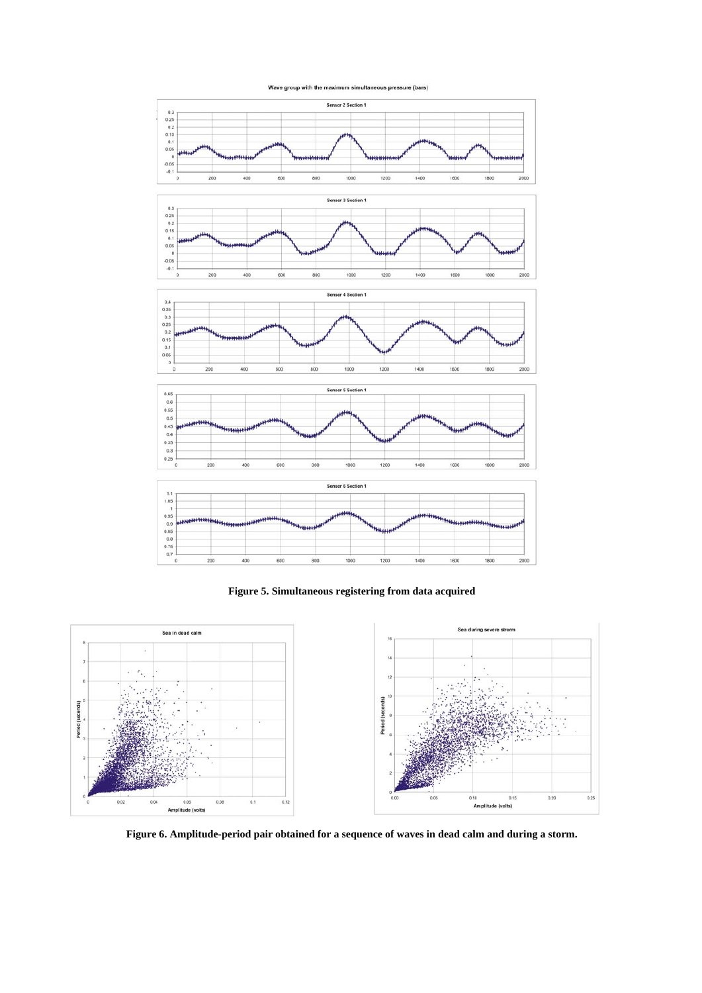



**Figure 5. Simultaneous registering from data acquired** 



**Figure 6. Amplitude-period pair obtained for a sequence of waves in dead calm and during a storm.**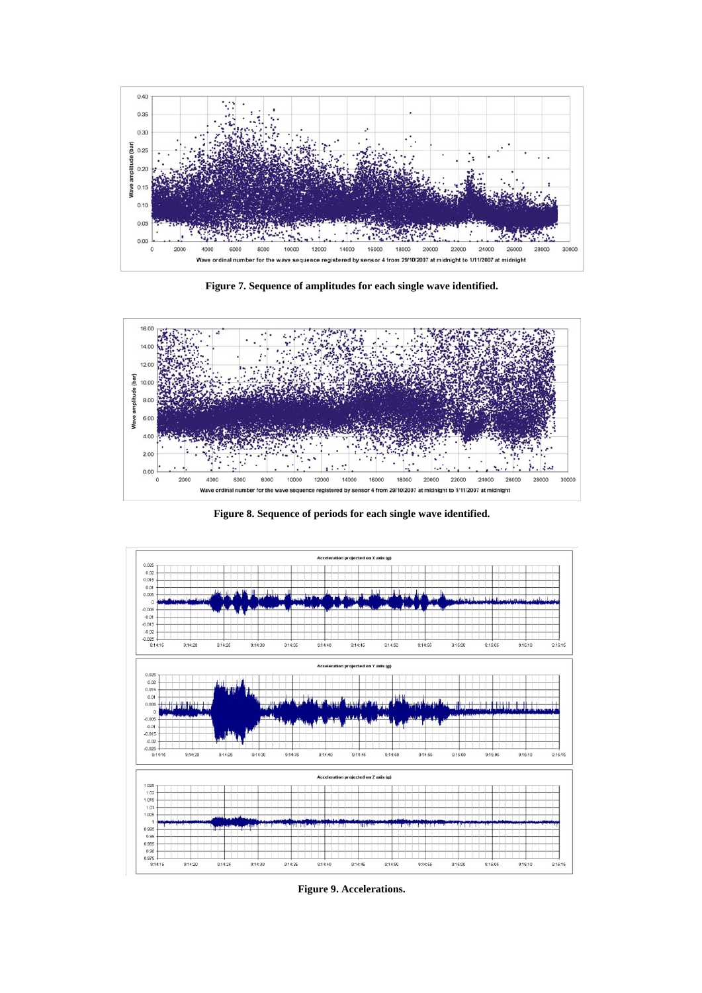

**Figure 7. Sequence of amplitudes for each single wave identified.** 



**Figure 8. Sequence of periods for each single wave identified.** 



**Figure 9. Accelerations.**